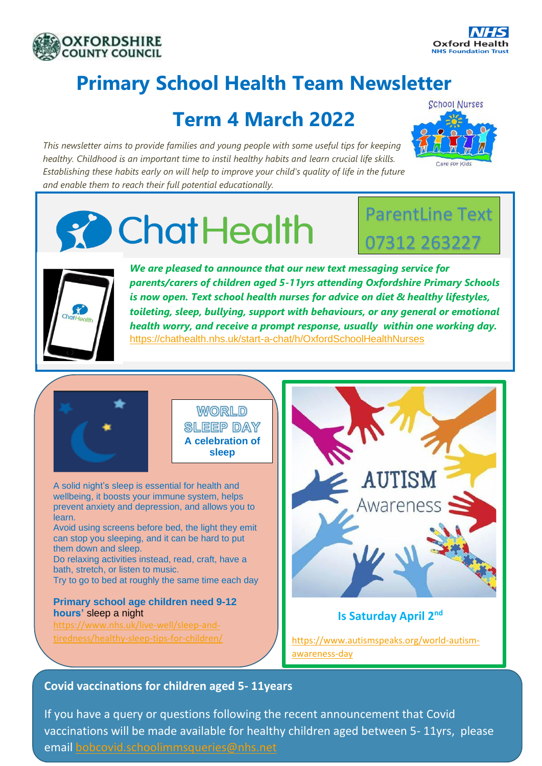



# **Primary School Health Team Newsletter**

# **Term 4 March 2022**

*This newsletter aims to provide families and young people with some useful tips for keeping healthy. Childhood is an important time to instil healthy habits and learn crucial life skills. Establishing these habits early on will help to improve your child's quality of life in the future and enable them to reach their full potential educationally.*



# **ChatHealth**

# ParentLine Text 07312 263227



*We are pleased to announce that our new text messaging service for parents/carers of children aged 5-11yrs attending Oxfordshire Primary Schools is now open. Text school health nurses for advice on diet & healthy lifestyles, toileting, sleep, bullying, support with behaviours, or any general or emotional health worry, and receive a prompt response, usually within one working day.*  <https://chathealth.nhs.uk/start-a-chat/h/OxfordSchoolHealthNurses>



**WORLD SLEEP DAY A celebration of sleep**

A solid night's sleep is essential for health and wellbeing, it boosts your immune system, helps prevent anxiety and depression, and allows you to learn. Avoid using screens before bed, the light they emit can stop you sleeping, and it can be hard to put

them down and sleep. Do relaxing activities instead, read, craft, have a bath, stretch, or listen to music. Try to go to bed at roughly the same time each day

**Primary school age children need 9-12 hours'** sleep a night

[https://www.nhs.uk/live-well/sleep-and](https://protect-eu.mimecast.com/s/235eCZ8jBsoW0DgcjudkV?domain=nhs.uk)[tiredness/healthy-sleep-tips-for-children/](https://protect-eu.mimecast.com/s/235eCZ8jBsoW0DgcjudkV?domain=nhs.uk)



## **Is Saturday April 2nd**

[https://www.autismspeaks.org/world-autism](https://protect-eu.mimecast.com/s/7x-PCWP4ysynVxou6xXQN?domain=autismspeaks.org)[awareness-day](https://protect-eu.mimecast.com/s/7x-PCWP4ysynVxou6xXQN?domain=autismspeaks.org)

## **Covid vaccinations for children aged 5- 11years**

If you have a query or questions following the recent announcement that Covid vaccinations will be made available for healthy children aged between 5- 11yrs, please email [bobcovid.schoolimmsqueries@nhs.net](mailto:bobcovid.schoolimmsqueries@nhs.net)